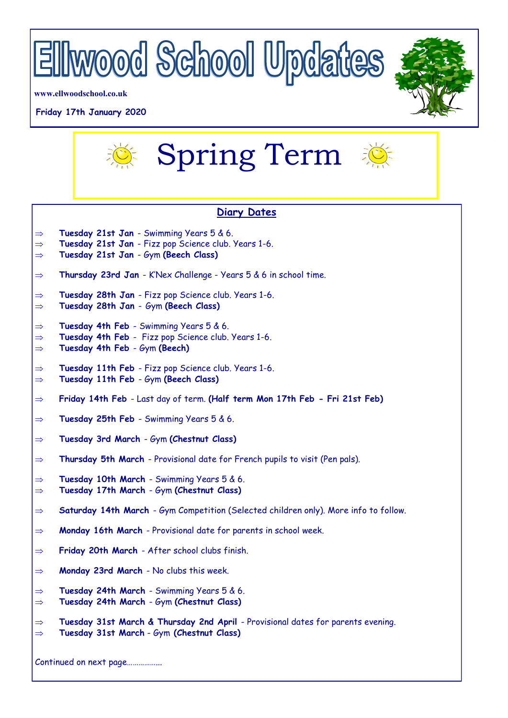

**www.ellwoodschool.co.uk**

#### **Friday 17th January 2020**





## **Diary Dates**

- **Tuesday 21st Jan**  Swimming Years 5 & 6.
- **Tuesday 21st Jan**  Fizz pop Science club. Years 1-6.
- **Tuesday 21st Jan**  Gym **(Beech Class)**
- $\Rightarrow$  Thursday 23rd Jan K'Nex Challenge Years 5 & 6 in school time.
- **Tuesday 28th Jan**  Fizz pop Science club. Years 1-6.
- **Tuesday 28th Jan**  Gym **(Beech Class)**
- **Tuesday 4th Feb**  Swimming Years 5 & 6.
- $\Rightarrow$  Tuesday 4th Feb Fizz pop Science club. Years 1-6.
- **Tuesday 4th Feb**  Gym **(Beech)**
- $\Rightarrow$  Tuesday 11th Feb Fizz pop Science club. Years 1-6.
- **Tuesday 11th Feb**  Gym **(Beech Class)**
- **Friday 14th Feb**  Last day of term. **(Half term Mon 17th Feb - Fri 21st Feb)**
- **Tuesday 25th Feb**  Swimming Years 5 & 6.
- **Tuesday 3rd March**  Gym **(Chestnut Class)**
- **Thursday 5th March**  Provisional date for French pupils to visit (Pen pals).
- **Tuesday 10th March**  Swimming Years 5 & 6. **Tuesday 17th March** - Gym **(Chestnut Class)**
- **Saturday 14th March**  Gym Competition (Selected children only). More info to follow.
- **Monday 16th March**  Provisional date for parents in school week.
- **Friday 20th March**  After school clubs finish.
- **Monday 23rd March**  No clubs this week.
- **Tuesday 24th March**  Swimming Years 5 & 6.
- **Tuesday 24th March**  Gym **(Chestnut Class)**
- **Tuesday 31st March & Thursday 2nd April**  Provisional dates for parents evening.
- **Tuesday 31st March** Gym **(Chestnut Class)**

Continued on next page……………...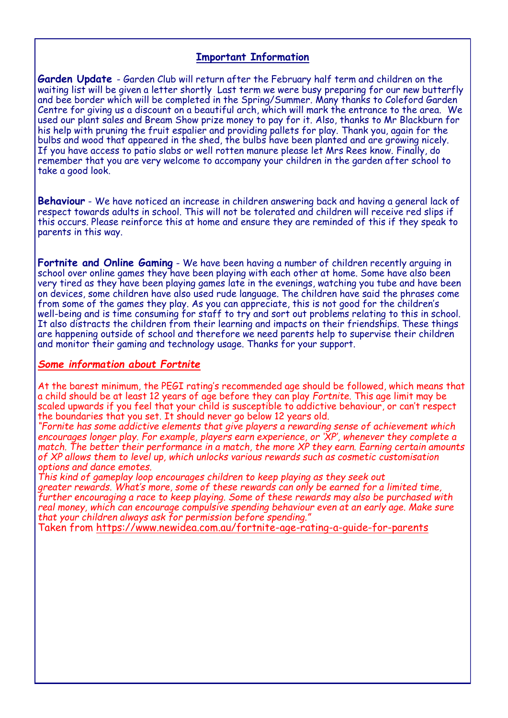## **Important Information**

**Garden Update** - Garden Club will return after the February half term and children on the waiting list will be given a letter shortly Last term we were busy preparing for our new butterfly and bee border which will be completed in the Spring/Summer. Many thanks to Coleford Garden Centre for giving us a discount on a beautiful arch, which will mark the entrance to the area. We used our plant sales and Bream Show prize money to pay for it. Also, thanks to Mr Blackburn for his help with pruning the fruit espalier and providing pallets for play. Thank you, again for the bulbs and wood that appeared in the shed, the bulbs have been planted and are growing nicely. If you have access to patio slabs or well rotten manure please let Mrs Rees know. Finally, do remember that you are very welcome to accompany your children in the garden after school to take a good look.

**Behaviour** - We have noticed an increase in children answering back and having a general lack of respect towards adults in school. This will not be tolerated and children will receive red slips if this occurs. Please reinforce this at home and ensure they are reminded of this if they speak to parents in this way.

**Fortnite and Online Gaming** - We have been having a number of children recently arguing in school over online games they have been playing with each other at home. Some have also been very tired as they have been playing games late in the evenings, watching you tube and have been on devices, some children have also used rude language. The children have said the phrases come from some of the games they play. As you can appreciate, this is not good for the children's well-being and is time consuming for staff to try and sort out problems relating to this in school. It also distracts the children from their learning and impacts on their friendships. These things are happening outside of school and therefore we need parents help to supervise their children and monitor their gaming and technology usage. Thanks for your support.

### *Some information about Fortnite*

At the barest minimum, the PEGI rating's recommended age should be followed, which means that a child should be at least 12 years of age before they can play *Fortnite*. This age limit may be scaled upwards if you feel that your child is susceptible to addictive behaviour, or can't respect the boundaries that you set. It should never go below 12 years old.

*"Fornite has some addictive elements that give players a rewarding sense of achievement which encourages longer play. For example, [players earn experience, or 'XP',](https://www.gamesradar.com/how-to-level-up-fast-in-fortnite/) whenever they complete a match. The better their performance in a match, the more XP they earn. Earning certain amounts of XP allows them to level up, which unlocks various rewards such as cosmetic customisation options and dance emotes.* 

*This kind of gameplay loop encourages children to keep playing as they seek out greater rewards. What's more, some of these rewards can only be earned for a limited time, further encouraging a race to keep playing. Some of these rewards may also be purchased with real money, which can encourage compulsive spending behaviour even at an early age. Make sure that your children always ask for permission before spending."*

Taken from [https://www.newidea.com.au/fortnite](https://www.newidea.com.au/fortnite-age-rating-a-guide-for-parents)-age-rating-a-guide-for-parents